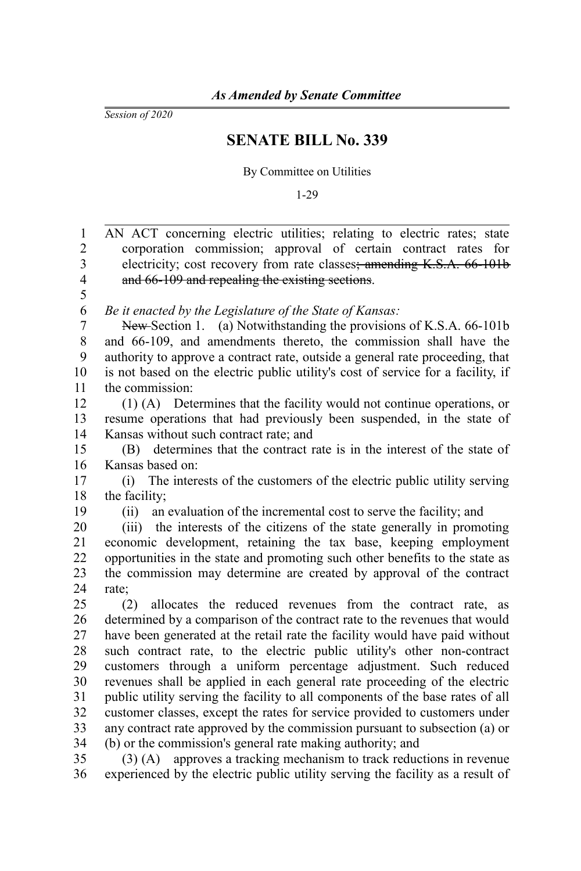*Session of 2020*

## **SENATE BILL No. 339**

By Committee on Utilities

1-29

| $\mathbf{1}$   | AN ACT concerning electric utilities; relating to electric rates; state          |
|----------------|----------------------------------------------------------------------------------|
| $\overline{2}$ | corporation commission; approval of certain contract rates for                   |
| 3              | electricity; cost recovery from rate classes; amending K.S.A. 66-101b            |
| $\overline{4}$ | and 66-109 and repealing the existing sections.                                  |
| 5              |                                                                                  |
| 6              | Be it enacted by the Legislature of the State of Kansas:                         |
| $\overline{7}$ | New-Section 1. (a) Notwithstanding the provisions of K.S.A. 66-101b              |
| 8              | and 66-109, and amendments thereto, the commission shall have the                |
| 9              | authority to approve a contract rate, outside a general rate proceeding, that    |
| 10             | is not based on the electric public utility's cost of service for a facility, if |
| 11             | the commission:                                                                  |
| 12             | (1) (A) Determines that the facility would not continue operations, or           |
| 13             | resume operations that had previously been suspended, in the state of            |
| 14             | Kansas without such contract rate; and                                           |
| 15             | determines that the contract rate is in the interest of the state of<br>(B)      |
| 16             | Kansas based on:                                                                 |
| 17             | (i) The interests of the customers of the electric public utility serving        |
| 18             | the facility;                                                                    |
| 19             | an evaluation of the incremental cost to serve the facility; and<br>(ii)         |
| 20             | (iii) the interests of the citizens of the state generally in promoting          |
| 21             | economic development, retaining the tax base, keeping employment                 |
| 22             | opportunities in the state and promoting such other benefits to the state as     |
| 23             | the commission may determine are created by approval of the contract             |
| 24             | rate:                                                                            |
| 25             | allocates the reduced revenues from the contract rate, as<br>(2)                 |
| 26             | determined by a comparison of the contract rate to the revenues that would       |
| 27             | have been generated at the retail rate the facility would have paid without      |
| 28             | such contract rate, to the electric public utility's other non-contract          |
| 29             | customers through a uniform percentage adjustment. Such reduced                  |
| 30             | revenues shall be applied in each general rate proceeding of the electric        |
| 31             | public utility serving the facility to all components of the base rates of all   |
| 32             | customer classes, except the rates for service provided to customers under       |
| 33             | any contract rate approved by the commission pursuant to subsection (a) or       |
| 34             | (b) or the commission's general rate making authority; and                       |
| 35             | $(3)$ (A) approves a tracking mechanism to track reductions in revenue           |
| 36             | experienced by the electric public utility serving the facility as a result of   |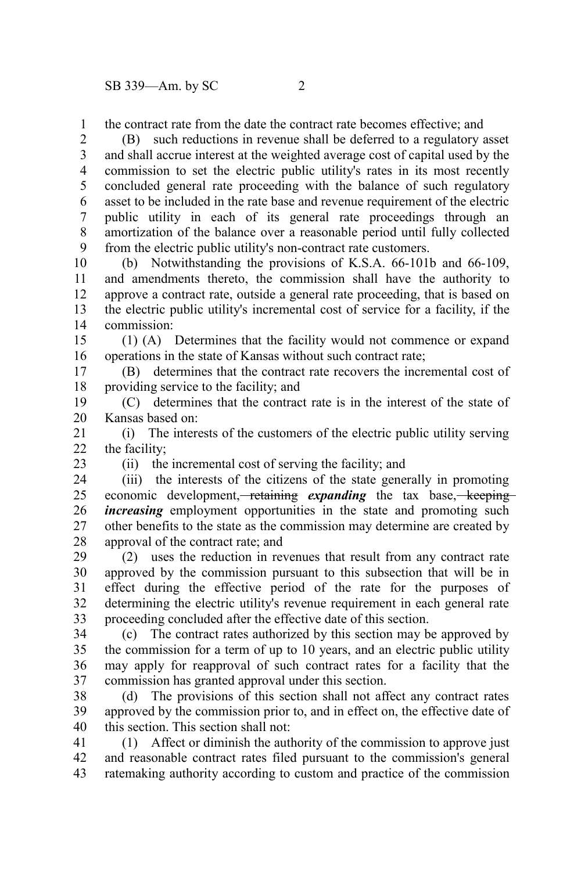the contract rate from the date the contract rate becomes effective; and

(B) such reductions in revenue shall be deferred to a regulatory asset and shall accrue interest at the weighted average cost of capital used by the commission to set the electric public utility's rates in its most recently concluded general rate proceeding with the balance of such regulatory asset to be included in the rate base and revenue requirement of the electric public utility in each of its general rate proceedings through an amortization of the balance over a reasonable period until fully collected from the electric public utility's non-contract rate customers. 2 3 4 5 6 7 8 9

(b) Notwithstanding the provisions of K.S.A. 66-101b and 66-109, and amendments thereto, the commission shall have the authority to approve a contract rate, outside a general rate proceeding, that is based on the electric public utility's incremental cost of service for a facility, if the commission: 10 11 12 13 14

(1) (A) Determines that the facility would not commence or expand operations in the state of Kansas without such contract rate; 15 16

(B) determines that the contract rate recovers the incremental cost of providing service to the facility; and 17 18

(C) determines that the contract rate is in the interest of the state of Kansas based on: 19 20

(i) The interests of the customers of the electric public utility serving the facility; 21  $22$ 

23

1

(ii) the incremental cost of serving the facility; and

(iii) the interests of the citizens of the state generally in promoting economic development, retaining *expanding* the tax base, keeping *increasing* employment opportunities in the state and promoting such other benefits to the state as the commission may determine are created by approval of the contract rate; and 24 25 26 27 28

(2) uses the reduction in revenues that result from any contract rate approved by the commission pursuant to this subsection that will be in effect during the effective period of the rate for the purposes of determining the electric utility's revenue requirement in each general rate proceeding concluded after the effective date of this section. 29 30 31 32 33

(c) The contract rates authorized by this section may be approved by the commission for a term of up to 10 years, and an electric public utility may apply for reapproval of such contract rates for a facility that the commission has granted approval under this section. 34 35 36 37

(d) The provisions of this section shall not affect any contract rates approved by the commission prior to, and in effect on, the effective date of this section. This section shall not: 38 39 40

(1) Affect or diminish the authority of the commission to approve just and reasonable contract rates filed pursuant to the commission's general ratemaking authority according to custom and practice of the commission 41 42 43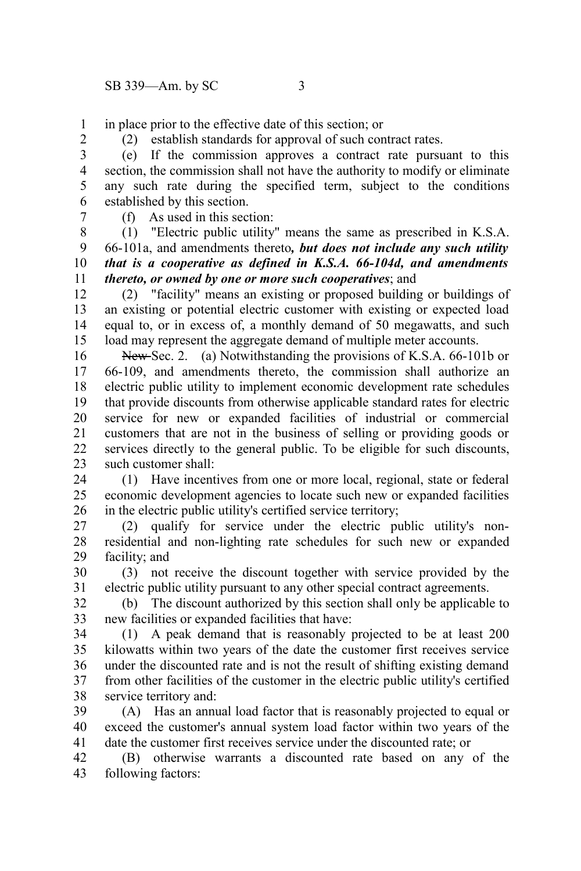in place prior to the effective date of this section; or 1

2

(2) establish standards for approval of such contract rates.

(e) If the commission approves a contract rate pursuant to this section, the commission shall not have the authority to modify or eliminate any such rate during the specified term, subject to the conditions established by this section. 3 4 5 6

7

(f) As used in this section:

(1) "Electric public utility" means the same as prescribed in K.S.A. 66-101a, and amendments thereto*, but does not include any such utility that is a cooperative as defined in K.S.A. 66-104d, and amendments thereto, or owned by one or more such cooperatives*; and 8 9 10 11

(2) "facility" means an existing or proposed building or buildings of an existing or potential electric customer with existing or expected load equal to, or in excess of, a monthly demand of 50 megawatts, and such load may represent the aggregate demand of multiple meter accounts. 12 13 14 15

New-Sec. 2. (a) Notwithstanding the provisions of K.S.A. 66-101b or 66-109, and amendments thereto, the commission shall authorize an electric public utility to implement economic development rate schedules that provide discounts from otherwise applicable standard rates for electric service for new or expanded facilities of industrial or commercial customers that are not in the business of selling or providing goods or services directly to the general public. To be eligible for such discounts, such customer shall: 16 17 18 19 20 21 22 23

(1) Have incentives from one or more local, regional, state or federal economic development agencies to locate such new or expanded facilities in the electric public utility's certified service territory; 24 25 26

(2) qualify for service under the electric public utility's nonresidential and non-lighting rate schedules for such new or expanded facility; and 27 28 29

(3) not receive the discount together with service provided by the electric public utility pursuant to any other special contract agreements. 30 31

(b) The discount authorized by this section shall only be applicable to new facilities or expanded facilities that have: 32 33

(1) A peak demand that is reasonably projected to be at least 200 kilowatts within two years of the date the customer first receives service under the discounted rate and is not the result of shifting existing demand from other facilities of the customer in the electric public utility's certified service territory and: 34 35 36 37 38

(A) Has an annual load factor that is reasonably projected to equal or exceed the customer's annual system load factor within two years of the date the customer first receives service under the discounted rate; or 39 40 41

(B) otherwise warrants a discounted rate based on any of the following factors: 42 43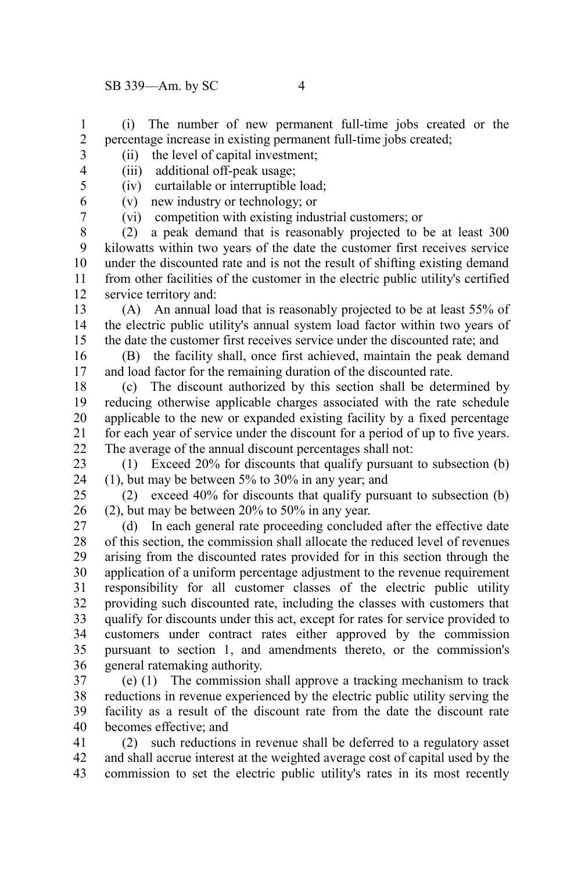(i) The number of new permanent full-time jobs created or the percentage increase in existing permanent full-time jobs created; 1 2

3 4

> 6 7

- (ii) the level of capital investment; (iii) additional off-peak usage;
- 5
- (iv) curtailable or interruptible load;
- (v) new industry or technology; or
	- (vi) competition with existing industrial customers; or

(2) a peak demand that is reasonably projected to be at least 300 kilowatts within two years of the date the customer first receives service under the discounted rate and is not the result of shifting existing demand from other facilities of the customer in the electric public utility's certified service territory and: 8 9 10 11 12

(A) An annual load that is reasonably projected to be at least 55% of the electric public utility's annual system load factor within two years of the date the customer first receives service under the discounted rate; and 13 14 15

(B) the facility shall, once first achieved, maintain the peak demand and load factor for the remaining duration of the discounted rate. 16 17

(c) The discount authorized by this section shall be determined by reducing otherwise applicable charges associated with the rate schedule applicable to the new or expanded existing facility by a fixed percentage for each year of service under the discount for a period of up to five years. The average of the annual discount percentages shall not: 18 19 20 21 22

(1) Exceed 20% for discounts that qualify pursuant to subsection (b) (1), but may be between 5% to 30% in any year; and 23 24

(2) exceed 40% for discounts that qualify pursuant to subsection (b) (2), but may be between 20% to 50% in any year. 25 26

(d) In each general rate proceeding concluded after the effective date of this section, the commission shall allocate the reduced level of revenues arising from the discounted rates provided for in this section through the application of a uniform percentage adjustment to the revenue requirement responsibility for all customer classes of the electric public utility providing such discounted rate, including the classes with customers that qualify for discounts under this act, except for rates for service provided to customers under contract rates either approved by the commission pursuant to section 1, and amendments thereto, or the commission's general ratemaking authority. 27 28 29 30 31 32 33 34 35 36

(e) (1) The commission shall approve a tracking mechanism to track reductions in revenue experienced by the electric public utility serving the facility as a result of the discount rate from the date the discount rate becomes effective; and 37 38 39 40

(2) such reductions in revenue shall be deferred to a regulatory asset and shall accrue interest at the weighted average cost of capital used by the commission to set the electric public utility's rates in its most recently 41 42 43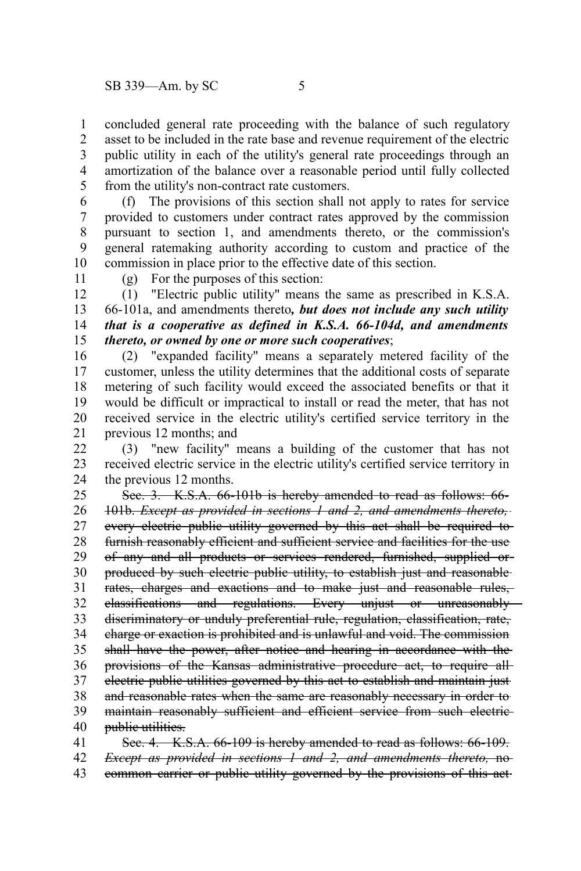concluded general rate proceeding with the balance of such regulatory asset to be included in the rate base and revenue requirement of the electric public utility in each of the utility's general rate proceedings through an amortization of the balance over a reasonable period until fully collected from the utility's non-contract rate customers. 1 2 3 4 5

(f) The provisions of this section shall not apply to rates for service provided to customers under contract rates approved by the commission pursuant to section 1, and amendments thereto, or the commission's general ratemaking authority according to custom and practice of the commission in place prior to the effective date of this section. 6 7 8 9 10

11

(g) For the purposes of this section:

(1) "Electric public utility" means the same as prescribed in K.S.A. 66-101a, and amendments thereto*, but does not include any such utility that is a cooperative as defined in K.S.A. 66-104d, and amendments thereto, or owned by one or more such cooperatives*; 12 13 14 15

(2) "expanded facility" means a separately metered facility of the customer, unless the utility determines that the additional costs of separate metering of such facility would exceed the associated benefits or that it would be difficult or impractical to install or read the meter, that has not received service in the electric utility's certified service territory in the previous 12 months; and 16 17 18 19 20 21

(3) "new facility" means a building of the customer that has not received electric service in the electric utility's certified service territory in the previous 12 months. 22 23 24

Sec. 3. K.S.A. 66-101b is hereby amended to read as follows: 66- 101b. *Except as provided in sections 1 and 2, and amendments thereto,* every electric public utility governed by this act shall be required to furnish reasonably efficient and sufficient service and facilities for the use of any and all products or services rendered, furnished, supplied or produced by such electric public utility, to establish just and reasonable rates, charges and exactions and to make just and reasonable rules, classifications and regulations. Every unjust or unreasonably discriminatory or unduly preferential rule, regulation, classification, rate, charge or exaction is prohibited and is unlawful and void. The commission shall have the power, after notice and hearing in accordance with the provisions of the Kansas administrative procedure act, to require all electric public utilities governed by this act to establish and maintain just and reasonable rates when the same are reasonably necessary in order to maintain reasonably sufficient and efficient service from such electricpublic utilities. Sec. 4. K.S.A. 66-109 is hereby amended to read as follows: 66-109. 25 26 27 28 29 30 31 32 33 34 35 36 37 38 39 40 41

*Except as provided in sections 1 and 2, and amendments thereto,* no common carrier or public utility governed by the provisions of this act 42 43